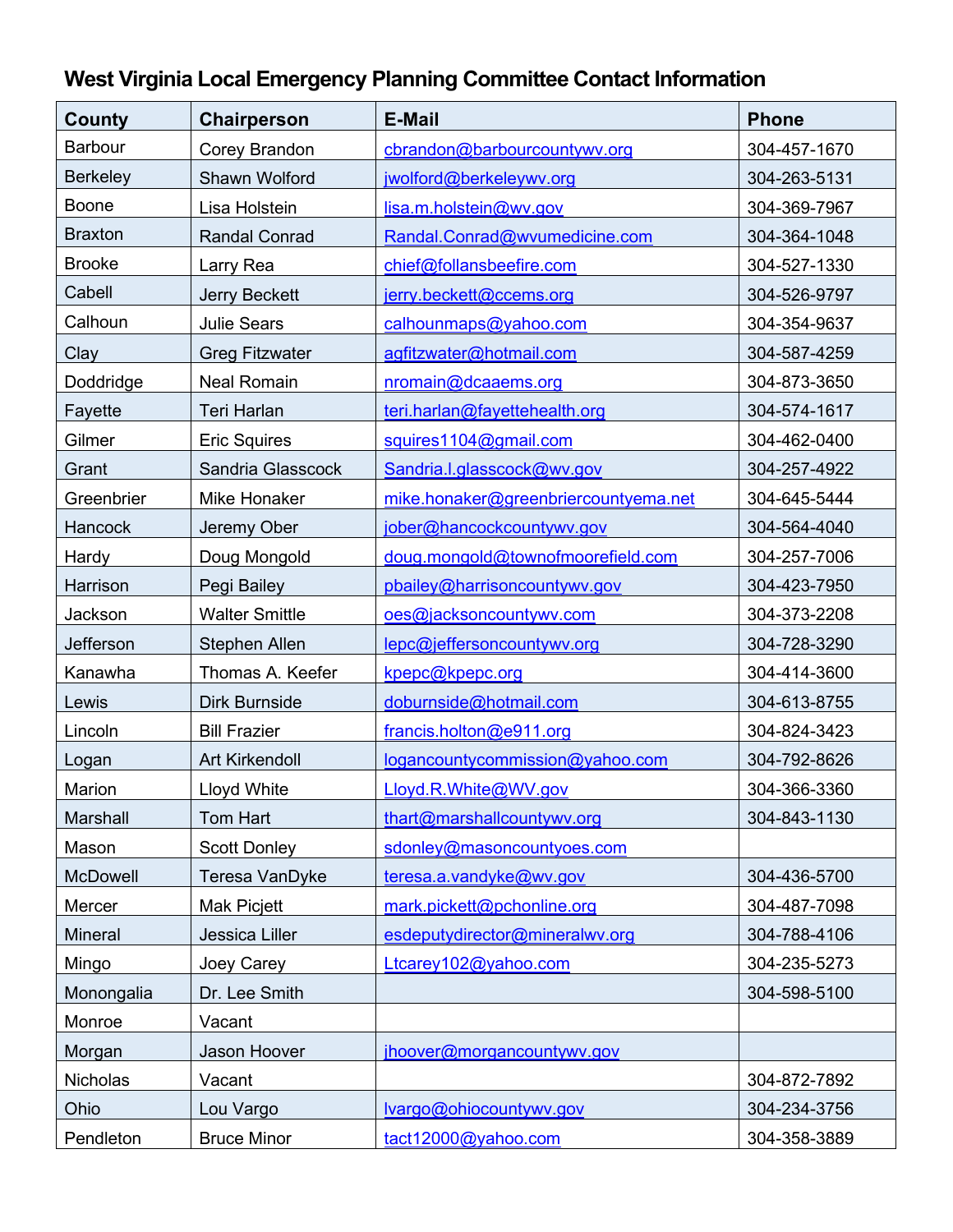| County           | Chairperson           | <b>E-Mail</b>                        | <b>Phone</b> |
|------------------|-----------------------|--------------------------------------|--------------|
| <b>Barbour</b>   | Corey Brandon         | cbrandon@barbourcountywv.org         | 304-457-1670 |
| <b>Berkeley</b>  | Shawn Wolford         | jwolford@berkeleywv.org              | 304-263-5131 |
| <b>Boone</b>     | Lisa Holstein         | lisa.m.holstein@wv.gov               | 304-369-7967 |
| <b>Braxton</b>   | <b>Randal Conrad</b>  | Randal.Conrad@wvumedicine.com        | 304-364-1048 |
| <b>Brooke</b>    | Larry Rea             | chief@follansbeefire.com             | 304-527-1330 |
| Cabell           | Jerry Beckett         | jerry.beckett@ccems.org              | 304-526-9797 |
| Calhoun          | <b>Julie Sears</b>    | calhounmaps@yahoo.com                | 304-354-9637 |
| Clay             | <b>Greg Fitzwater</b> | agfitzwater@hotmail.com              | 304-587-4259 |
| Doddridge        | <b>Neal Romain</b>    | nromain@dcaaems.org                  | 304-873-3650 |
| Fayette          | <b>Teri Harlan</b>    | teri.harlan@fayettehealth.org        | 304-574-1617 |
| Gilmer           | <b>Eric Squires</b>   | squires1104@gmail.com                | 304-462-0400 |
| Grant            | Sandria Glasscock     | Sandria.l.glasscock@wv.gov           | 304-257-4922 |
| Greenbrier       | <b>Mike Honaker</b>   | mike.honaker@greenbriercountyema.net | 304-645-5444 |
| Hancock          | Jeremy Ober           | jober@hancockcountywv.gov            | 304-564-4040 |
| Hardy            | Doug Mongold          | doug.mongold@townofmoorefield.com    | 304-257-7006 |
| Harrison         | Pegi Bailey           | pbailey@harrisoncountywv.gov         | 304-423-7950 |
| Jackson          | <b>Walter Smittle</b> | oes@jacksoncountywv.com              | 304-373-2208 |
| <b>Jefferson</b> | Stephen Allen         | lepc@jeffersoncountywv.org           | 304-728-3290 |
| Kanawha          | Thomas A. Keefer      | kpepc@kpepc.org                      | 304-414-3600 |
| Lewis            | Dirk Burnside         | doburnside@hotmail.com               | 304-613-8755 |
| Lincoln          | <b>Bill Frazier</b>   | francis.holton@e911.org              | 304-824-3423 |
| Logan            | <b>Art Kirkendoll</b> | logancountycommission@yahoo.com      | 304-792-8626 |
| Marion           | Lloyd White           | Lloyd.R.White@WV.gov                 | 304-366-3360 |
| Marshall         | Tom Hart              | thart@marshallcountywv.org           | 304-843-1130 |
| Mason            | <b>Scott Donley</b>   | sdonley@masoncountyoes.com           |              |
| <b>McDowell</b>  | Teresa VanDyke        | teresa.a.vandyke@wv.gov              | 304-436-5700 |
| Mercer           | Mak Picjett           | mark.pickett@pchonline.org           | 304-487-7098 |
| <b>Mineral</b>   | Jessica Liller        | esdeputydirector@mineralwv.org       | 304-788-4106 |
| Mingo            | Joey Carey            | Ltcarey102@yahoo.com                 | 304-235-5273 |
| Monongalia       | Dr. Lee Smith         |                                      | 304-598-5100 |
| Monroe           | Vacant                |                                      |              |
| Morgan           | Jason Hoover          | jhoover@morgancountywv.gov           |              |
| Nicholas         | Vacant                |                                      | 304-872-7892 |
| Ohio             | Lou Vargo             | lvargo@ohiocountywv.gov              | 304-234-3756 |
| Pendleton        | <b>Bruce Minor</b>    | tact12000@yahoo.com                  | 304-358-3889 |

## **West Virginia Local Emergency Planning Committee Contact Information**